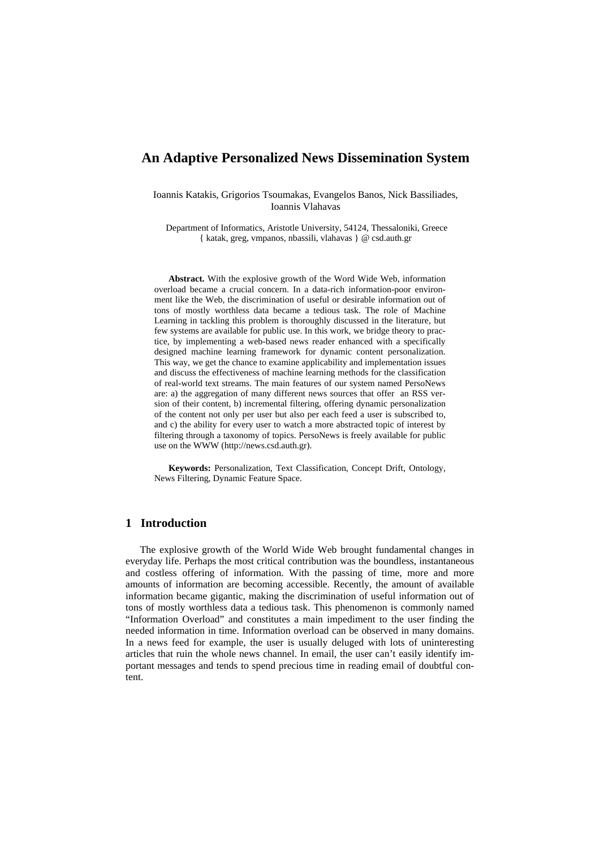# **An Adaptive Personalized News Dissemination System**

Ioannis Katakis, Grigorios Tsoumakas, Evangelos Banos, Nick Bassiliades, Ioannis Vlahavas

 Department of Informatics, Aristotle University, 54124, Thessaloniki, Greece { katak, greg, vmpanos, nbassili, vlahavas } @ csd.auth.gr

**Abstract.** With the explosive growth of the Word Wide Web, information overload became a crucial concern. In a data-rich information-poor environment like the Web, the discrimination of useful or desirable information out of tons of mostly worthless data became a tedious task. The role of Machine Learning in tackling this problem is thoroughly discussed in the literature, but few systems are available for public use. In this work, we bridge theory to practice, by implementing a web-based news reader enhanced with a specifically designed machine learning framework for dynamic content personalization. This way, we get the chance to examine applicability and implementation issues and discuss the effectiveness of machine learning methods for the classification of real-world text streams. The main features of our system named PersoNews are: a) the aggregation of many different news sources that offer an RSS version of their content, b) incremental filtering, offering dynamic personalization of the content not only per user but also per each feed a user is subscribed to, and c) the ability for every user to watch a more abstracted topic of interest by filtering through a taxonomy of topics. PersoNews is freely available for public use on the WWW (http://news.csd.auth.gr).

**Keywords:** Personalization, Text Classification, Concept Drift, Ontology, News Filtering, Dynamic Feature Space.

# **1 Introduction**

The explosive growth of the World Wide Web brought fundamental changes in everyday life. Perhaps the most critical contribution was the boundless, instantaneous and costless offering of information. With the passing of time, more and more amounts of information are becoming accessible. Recently, the amount of available information became gigantic, making the discrimination of useful information out of tons of mostly worthless data a tedious task. This phenomenon is commonly named "Information Overload" and constitutes a main impediment to the user finding the needed information in time. Information overload can be observed in many domains. In a news feed for example, the user is usually deluged with lots of uninteresting articles that ruin the whole news channel. In email, the user can't easily identify important messages and tends to spend precious time in reading email of doubtful content.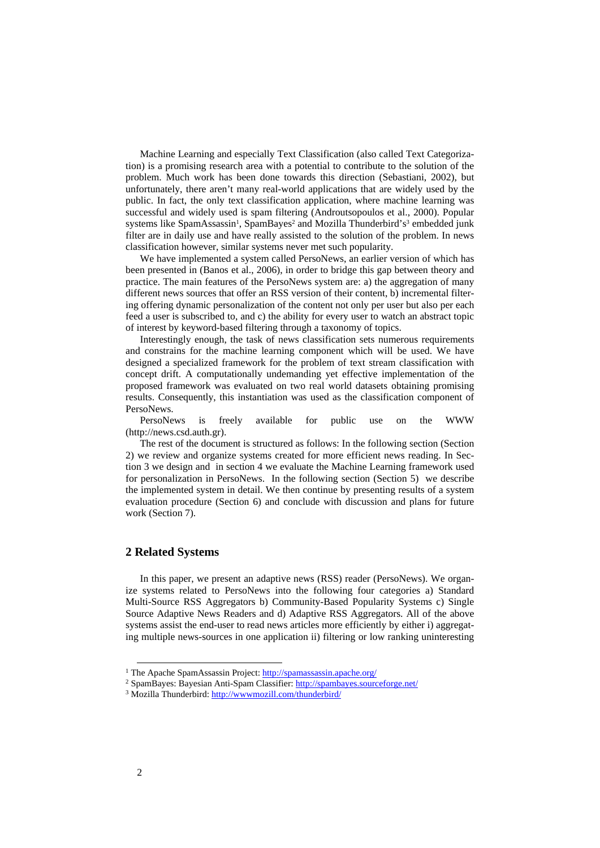Machine Learning and especially Text Classification (also called Text Categorization) is a promising research area with a potential to contribute to the solution of the problem. Much work has been done towards this direction (Sebastiani, 2002), but unfortunately, there aren't many real-world applications that are widely used by the public. In fact, the only text classification application, where machine learning was successful and widely used is spam filtering (Androutsopoulos et al., 2000). Popular systems like SpamAssassin<sup>1</sup>, SpamBayes<sup>2</sup> and Mozilla Thunderbird's<sup>3</sup> embedded junk filter are in daily use and have really assisted to the solution of the problem. In news classification however, similar systems never met such popularity.

We have implemented a system called PersoNews, an earlier version of which has been presented in (Banos et al., 2006), in order to bridge this gap between theory and practice. The main features of the PersoNews system are: a) the aggregation of many different news sources that offer an RSS version of their content, b) incremental filtering offering dynamic personalization of the content not only per user but also per each feed a user is subscribed to, and c) the ability for every user to watch an abstract topic of interest by keyword-based filtering through a taxonomy of topics.

Interestingly enough, the task of news classification sets numerous requirements and constrains for the machine learning component which will be used. We have designed a specialized framework for the problem of text stream classification with concept drift. A computationally undemanding yet effective implementation of the proposed framework was evaluated on two real world datasets obtaining promising results. Consequently, this instantiation was used as the classification component of PersoNews.

PersoNews is freely available for public use on the WWW (http://news.csd.auth.gr).

The rest of the document is structured as follows: In the following section (Section 2) we review and organize systems created for more efficient news reading. In Section 3 we design and in section 4 we evaluate the Machine Learning framework used for personalization in PersoNews. In the following section (Section 5) we describe the implemented system in detail. We then continue by presenting results of a system evaluation procedure (Section 6) and conclude with discussion and plans for future work (Section 7).

# **2 Related Systems**

In this paper, we present an adaptive news (RSS) reader (PersoNews). We organize systems related to PersoNews into the following four categories a) Standard Multi-Source RSS Aggregators b) Community-Based Popularity Systems c) Single Source Adaptive News Readers and d) Adaptive RSS Aggregators. All of the above systems assist the end-user to read news articles more efficiently by either i) aggregating multiple news-sources in one application ii) filtering or low ranking uninteresting

<sup>&</sup>lt;sup>1</sup> The Apache SpamAssassin Project: http://spamassassin.apache.org/<br>
<sup>2</sup> SpamBayes: Bayesian Anti-Spam Classifier: http://spambayes.sourceforge.net/<br>
<sup>3</sup> Mozilla Thunderbird: http://wwwmozill.com/thunderbird/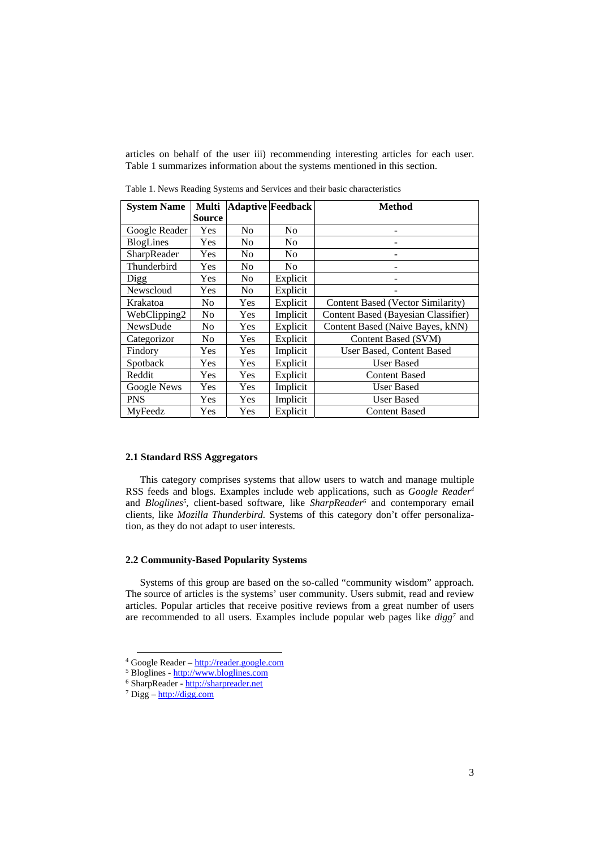articles on behalf of the user iii) recommending interesting articles for each user. Table 1 summarizes information about the systems mentioned in this section.

| <b>System Name</b> | <b>Multi</b>   |                | <b>Adaptive Feedback</b> | Method                              |  |
|--------------------|----------------|----------------|--------------------------|-------------------------------------|--|
|                    | <b>Source</b>  |                |                          |                                     |  |
| Google Reader      | Yes            | N <sub>0</sub> | No                       |                                     |  |
| <b>BlogLines</b>   | Yes            | N <sub>0</sub> | No                       |                                     |  |
| SharpReader        | Yes            | No             | No                       |                                     |  |
| Thunderbird        | Yes            | No             | No.                      |                                     |  |
| Digg               | <b>Yes</b>     | N <sub>0</sub> | Explicit                 |                                     |  |
| Newscloud          | Yes            | N <sub>0</sub> | Explicit                 |                                     |  |
| Krakatoa           | No.            | Yes            | Explicit                 | Content Based (Vector Similarity)   |  |
| WebClipping2       | N <sub>0</sub> | Yes            | Implicit                 | Content Based (Bayesian Classifier) |  |
| NewsDude           | N <sub>0</sub> | Yes            | Explicit                 | Content Based (Naive Bayes, kNN)    |  |
| Categorizor        | N <sub>0</sub> | Yes            | Explicit                 | Content Based (SVM)                 |  |
| Findory            | Yes            | Yes            | Implicit                 | User Based, Content Based           |  |
| Spotback           | Yes            | Yes            | Explicit                 | <b>User Based</b>                   |  |
| Reddit             | Yes            | Yes            | Explicit                 | <b>Content Based</b>                |  |
| Google News        | Yes            | Yes            | Implicit                 | <b>User Based</b>                   |  |
| PNS                | Yes            | Yes            | Implicit                 | <b>User Based</b>                   |  |
| MyFeedz            | Yes            | Yes            | Explicit                 | <b>Content Based</b>                |  |

Table 1. News Reading Systems and Services and their basic characteristics

### **2.1 Standard RSS Aggregators**

This category comprises systems that allow users to watch and manage multiple RSS feeds and blogs. Examples include web applications, such as *Google Reader4* and *Bloglines5*, client-based software, like *SharpReader6* and contemporary email clients, like *Mozilla Thunderbird.* Systems of this category don't offer personalization, as they do not adapt to user interests.

### **2.2 Community-Based Popularity Systems**

Systems of this group are based on the so-called "community wisdom" approach. The source of articles is the systems' user community. Users submit, read and review articles. Popular articles that receive positive reviews from a great number of users are recommended to all users. Examples include popular web pages like *digg7* and

<sup>&</sup>lt;sup>4</sup> Google Reader – <u>http://reader.google.com</u><br>
<sup>5</sup> Bloglines - <u>http://www.bloglines.com</u><br>
<sup>6</sup> SharpReader - <u>http://sharpreader.net</u><br>
<sup>7</sup> Digg – http://digg.com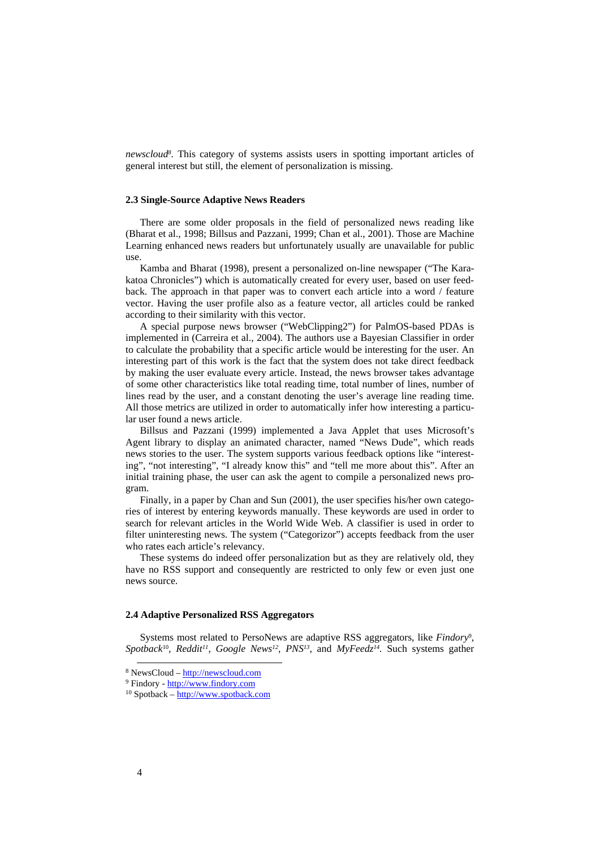*newscloud8.* This category of systems assists users in spotting important articles of general interest but still, the element of personalization is missing.

### **2.3 Single-Source Adaptive News Readers**

There are some older proposals in the field of personalized news reading like (Bharat et al., 1998; Billsus and Pazzani, 1999; Chan et al., 2001). Those are Machine Learning enhanced news readers but unfortunately usually are unavailable for public use.

Kamba and Bharat (1998), present a personalized on-line newspaper ("The Karakatoa Chronicles") which is automatically created for every user, based on user feedback. The approach in that paper was to convert each article into a word / feature vector. Having the user profile also as a feature vector, all articles could be ranked according to their similarity with this vector.

A special purpose news browser ("WebClipping2") for PalmOS-based PDAs is implemented in (Carreira et al., 2004). The authors use a Bayesian Classifier in order to calculate the probability that a specific article would be interesting for the user. An interesting part of this work is the fact that the system does not take direct feedback by making the user evaluate every article. Instead, the news browser takes advantage of some other characteristics like total reading time, total number of lines, number of lines read by the user, and a constant denoting the user's average line reading time. All those metrics are utilized in order to automatically infer how interesting a particular user found a news article.

Billsus and Pazzani (1999) implemented a Java Applet that uses Microsoft's Agent library to display an animated character, named "News Dude", which reads news stories to the user. The system supports various feedback options like "interesting", "not interesting", "I already know this" and "tell me more about this". After an initial training phase, the user can ask the agent to compile a personalized news program.

Finally, in a paper by Chan and Sun (2001), the user specifies his/her own categories of interest by entering keywords manually. These keywords are used in order to search for relevant articles in the World Wide Web. A classifier is used in order to filter uninteresting news. The system ("Categorizor") accepts feedback from the user who rates each article's relevancy.

These systems do indeed offer personalization but as they are relatively old, they have no RSS support and consequently are restricted to only few or even just one news source.

# **2.4 Adaptive Personalized RSS Aggregators**

Systems most related to PersoNews are adaptive RSS aggregators, like *Findory*9, *Spotback*10, *Reddit11*, *Google News12*, *PNS13*, and *MyFeedz14.* Such systems gather

<sup>&</sup>lt;sup>8</sup> NewsCloud – <u>http://newscloud.com</u><br><sup>9</sup> Findory - <u>http://www.findory.com</u><br><sup>10</sup> Spotback – <u>http://www.spotback.com</u>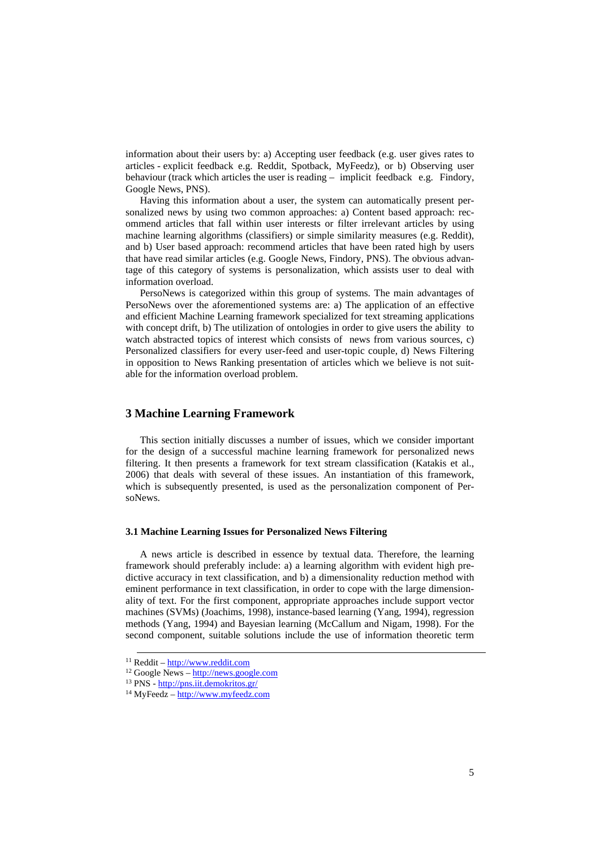information about their users by: a) Accepting user feedback (e.g. user gives rates to articles - explicit feedback e.g. Reddit, Spotback, MyFeedz), or b) Observing user behaviour (track which articles the user is reading – implicit feedback e.g. Findory, Google News, PNS).

Having this information about a user, the system can automatically present personalized news by using two common approaches: a) Content based approach: recommend articles that fall within user interests or filter irrelevant articles by using machine learning algorithms (classifiers) or simple similarity measures (e.g. Reddit), and b) User based approach: recommend articles that have been rated high by users that have read similar articles (e.g. Google News, Findory, PNS). The obvious advantage of this category of systems is personalization, which assists user to deal with information overload.

PersoNews is categorized within this group of systems. The main advantages of PersoNews over the aforementioned systems are: a) The application of an effective and efficient Machine Learning framework specialized for text streaming applications with concept drift, b) The utilization of ontologies in order to give users the ability to watch abstracted topics of interest which consists of news from various sources, c) Personalized classifiers for every user-feed and user-topic couple, d) News Filtering in opposition to News Ranking presentation of articles which we believe is not suitable for the information overload problem.

### **3 Machine Learning Framework**

This section initially discusses a number of issues, which we consider important for the design of a successful machine learning framework for personalized news filtering. It then presents a framework for text stream classification (Katakis et al., 2006) that deals with several of these issues. An instantiation of this framework, which is subsequently presented, is used as the personalization component of PersoNews.

#### **3.1 Machine Learning Issues for Personalized News Filtering**

A news article is described in essence by textual data. Therefore, the learning framework should preferably include: a) a learning algorithm with evident high predictive accuracy in text classification, and b) a dimensionality reduction method with eminent performance in text classification, in order to cope with the large dimensionality of text. For the first component, appropriate approaches include support vector machines (SVMs) (Joachims, 1998), instance-based learning (Yang, 1994), regression methods (Yang, 1994) and Bayesian learning (McCallum and Nigam, 1998). For the second component, suitable solutions include the use of information theoretic term

<sup>&</sup>lt;sup>11</sup> Reddit – <u>http://www.reddit.com</u><br><sup>12</sup> Google News – <u>http://news.google.com</u><br><sup>13</sup> PNS - <u>http://pns.iit.demokritos.gr/</u><br><sup>14</sup> MyFeedz – http://www.myfeedz.com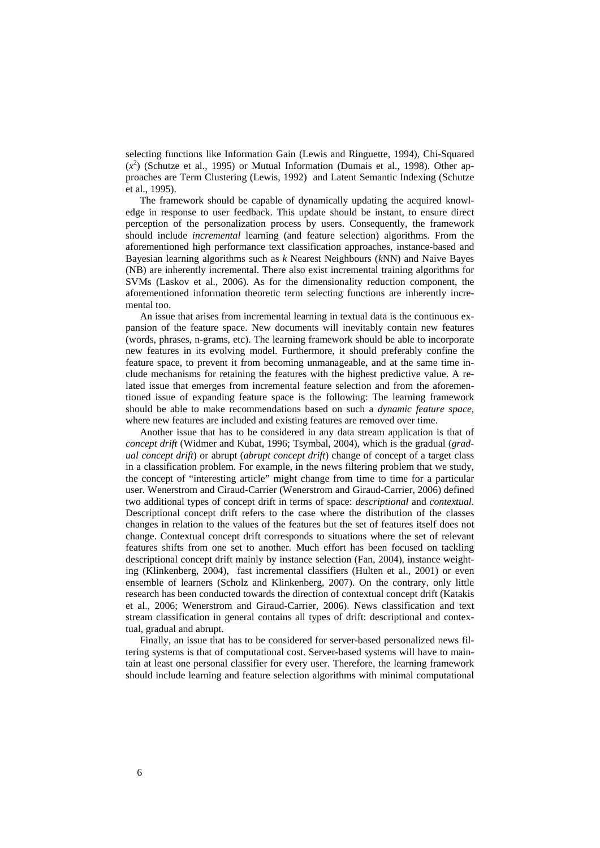selecting functions like Information Gain (Lewis and Ringuette, 1994), Chi-Squared  $(x^2)$  (Schutze et al., 1995) or Mutual Information (Dumais et al., 1998). Other approaches are Term Clustering (Lewis, 1992) and Latent Semantic Indexing (Schutze et al., 1995).

The framework should be capable of dynamically updating the acquired knowledge in response to user feedback. This update should be instant, to ensure direct perception of the personalization process by users. Consequently, the framework should include *incremental* learning (and feature selection) algorithms. From the aforementioned high performance text classification approaches, instance-based and Bayesian learning algorithms such as *k* Nearest Neighbours (*k*NN) and Naive Bayes (NB) are inherently incremental. There also exist incremental training algorithms for SVMs (Laskov et al., 2006). As for the dimensionality reduction component, the aforementioned information theoretic term selecting functions are inherently incremental too.

An issue that arises from incremental learning in textual data is the continuous expansion of the feature space. New documents will inevitably contain new features (words, phrases, n-grams, etc). The learning framework should be able to incorporate new features in its evolving model. Furthermore, it should preferably confine the feature space, to prevent it from becoming unmanageable, and at the same time include mechanisms for retaining the features with the highest predictive value. A related issue that emerges from incremental feature selection and from the aforementioned issue of expanding feature space is the following: The learning framework should be able to make recommendations based on such a *dynamic feature space*, where new features are included and existing features are removed over time.

Another issue that has to be considered in any data stream application is that of *concept drift* (Widmer and Kubat, 1996; Tsymbal, 2004), which is the gradual (*gradual concept drift*) or abrupt (*abrupt concept drift*) change of concept of a target class in a classification problem. For example, in the news filtering problem that we study, the concept of "interesting article" might change from time to time for a particular user. Wenerstrom and Ciraud-Carrier (Wenerstrom and Giraud-Carrier, 2006) defined two additional types of concept drift in terms of space: *descriptional* and *contextual.*  Descriptional concept drift refers to the case where the distribution of the classes changes in relation to the values of the features but the set of features itself does not change. Contextual concept drift corresponds to situations where the set of relevant features shifts from one set to another. Much effort has been focused on tackling descriptional concept drift mainly by instance selection (Fan, 2004), instance weighting (Klinkenberg, 2004), fast incremental classifiers (Hulten et al., 2001) or even ensemble of learners (Scholz and Klinkenberg, 2007). On the contrary, only little research has been conducted towards the direction of contextual concept drift (Katakis et al., 2006; Wenerstrom and Giraud-Carrier, 2006). News classification and text stream classification in general contains all types of drift: descriptional and contextual, gradual and abrupt.

Finally, an issue that has to be considered for server-based personalized news filtering systems is that of computational cost. Server-based systems will have to maintain at least one personal classifier for every user. Therefore, the learning framework should include learning and feature selection algorithms with minimal computational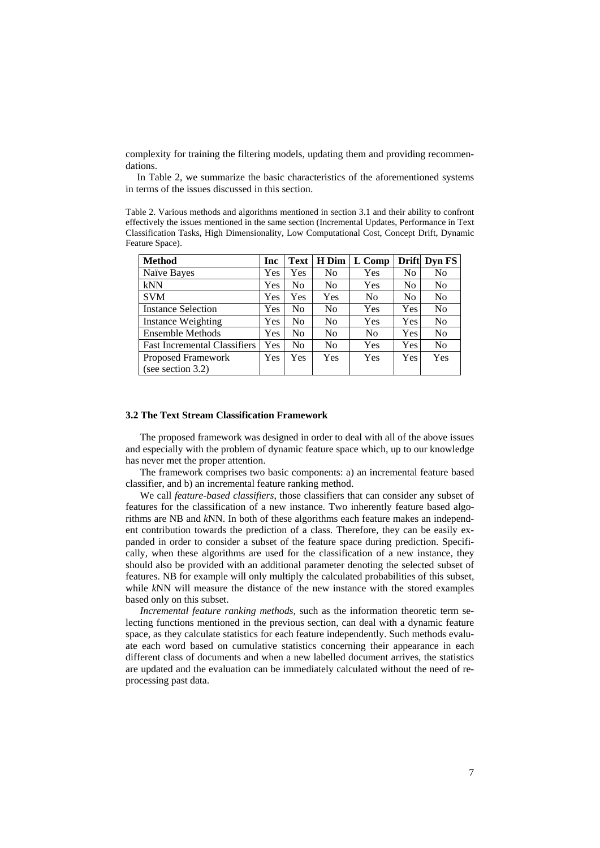complexity for training the filtering models, updating them and providing recommendations.

In Table 2, we summarize the basic characteristics of the aforementioned systems in terms of the issues discussed in this section.

Table 2. Various methods and algorithms mentioned in section 3.1 and their ability to confront effectively the issues mentioned in the same section (Incremental Updates, Performance in Text Classification Tasks, High Dimensionality, Low Computational Cost, Concept Drift, Dynamic Feature Space).

| <b>Method</b>                       | Inc | <b>Text</b> | H Dim          | L Comp |                | Drift Dyn FS   |
|-------------------------------------|-----|-------------|----------------|--------|----------------|----------------|
| Naïve Bayes                         | Yes | Yes         | No             | Yes    | No.            | No             |
| kNN                                 | Yes | No          | N <sub>0</sub> | Yes    | N <sub>0</sub> | No             |
| <b>SVM</b>                          | Yes | Yes         | Yes            | No     | N <sub>0</sub> | No             |
| <b>Instance Selection</b>           | Yes | No.         | No             | Yes    | Yes            | No             |
| <b>Instance Weighting</b>           | Yes | No.         | N <sub>0</sub> | Yes    | Yes            | No             |
| <b>Ensemble Methods</b>             | Yes | No.         | N <sub>0</sub> | No     | Yes            | No             |
| <b>Fast Incremental Classifiers</b> | Yes | No          | N <sub>0</sub> | Yes    | Yes            | N <sub>0</sub> |
| Proposed Framework                  | Yes | Yes         | Yes            | Yes    | <b>Yes</b>     | Yes            |
| (see section 3.2)                   |     |             |                |        |                |                |

#### **3.2 The Text Stream Classification Framework**

The proposed framework was designed in order to deal with all of the above issues and especially with the problem of dynamic feature space which, up to our knowledge has never met the proper attention.

The framework comprises two basic components: a) an incremental feature based classifier, and b) an incremental feature ranking method.

We call *feature-based classifiers*, those classifiers that can consider any subset of features for the classification of a new instance. Two inherently feature based algorithms are NB and *k*NN. In both of these algorithms each feature makes an independent contribution towards the prediction of a class. Therefore, they can be easily expanded in order to consider a subset of the feature space during prediction. Specifically, when these algorithms are used for the classification of a new instance, they should also be provided with an additional parameter denoting the selected subset of features. NB for example will only multiply the calculated probabilities of this subset, while *k*NN will measure the distance of the new instance with the stored examples based only on this subset.

*Incremental feature ranking methods*, such as the information theoretic term selecting functions mentioned in the previous section, can deal with a dynamic feature space, as they calculate statistics for each feature independently. Such methods evaluate each word based on cumulative statistics concerning their appearance in each different class of documents and when a new labelled document arrives, the statistics are updated and the evaluation can be immediately calculated without the need of reprocessing past data.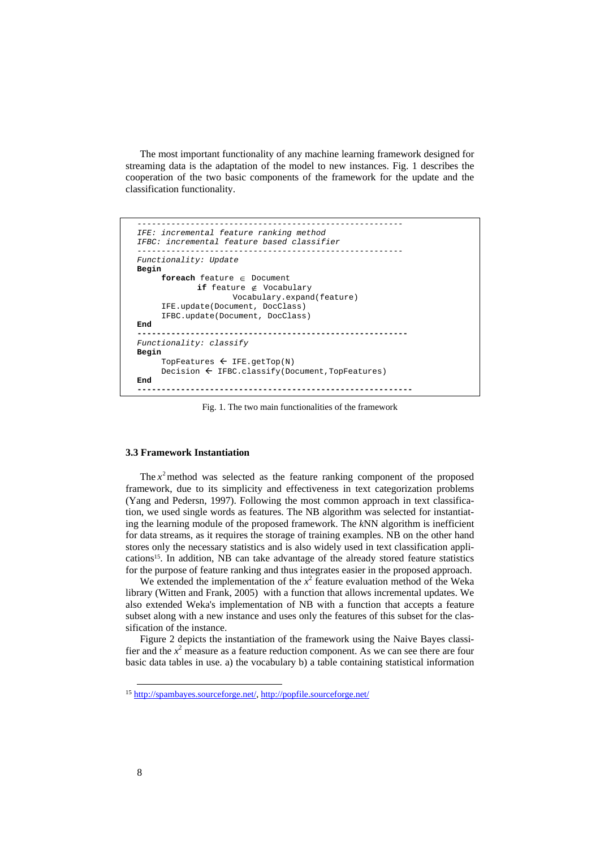The most important functionality of any machine learning framework designed for streaming data is the adaptation of the model to new instances. Fig. 1 describes the cooperation of the two basic components of the framework for the update and the classification functionality.

```
------------------------------------------------------- 
IFE: incremental feature ranking method 
IFBC: incremental feature based classifier 
------------------------------------------------------- 
Functionality: Update 
Begin 
     foreach feature ∈ Document 
              if feature ∉ Vocabulary 
                     Vocabulary.expand(feature) 
      IFE.update(Document, DocClass) 
      IFBC.update(Document, DocClass) 
End 
      -------------------------------------------------------- 
Functionality: classify
Begin 
     TopFeatures \leftarrow IFE.getTop(N)
     Decision \leftarrow IFBC.classify(Document,TopFeatures)
End 
                     ---------------------------------------------------------
```
Fig. 1. The two main functionalities of the framework

#### **3.3 Framework Instantiation**

The  $x^2$  method was selected as the feature ranking component of the proposed framework, due to its simplicity and effectiveness in text categorization problems (Yang and Pedersn, 1997). Following the most common approach in text classification, we used single words as features. The NB algorithm was selected for instantiating the learning module of the proposed framework. The *k*NN algorithm is inefficient for data streams, as it requires the storage of training examples. NB on the other hand stores only the necessary statistics and is also widely used in text classification applications15. In addition, NB can take advantage of the already stored feature statistics for the purpose of feature ranking and thus integrates easier in the proposed approach.

We extended the implementation of the  $x^2$  feature evaluation method of the Weka library (Witten and Frank, 2005) with a function that allows incremental updates. We also extended Weka's implementation of NB with a function that accepts a feature subset along with a new instance and uses only the features of this subset for the classification of the instance.

Figure 2 depicts the instantiation of the framework using the Naive Bayes classifier and the  $x^2$  measure as a feature reduction component. As we can see there are four basic data tables in use. a) the vocabulary b) a table containing statistical information

 <sup>15</sup> http://spambayes.sourceforge.net/, http://popfile.sourceforge.net/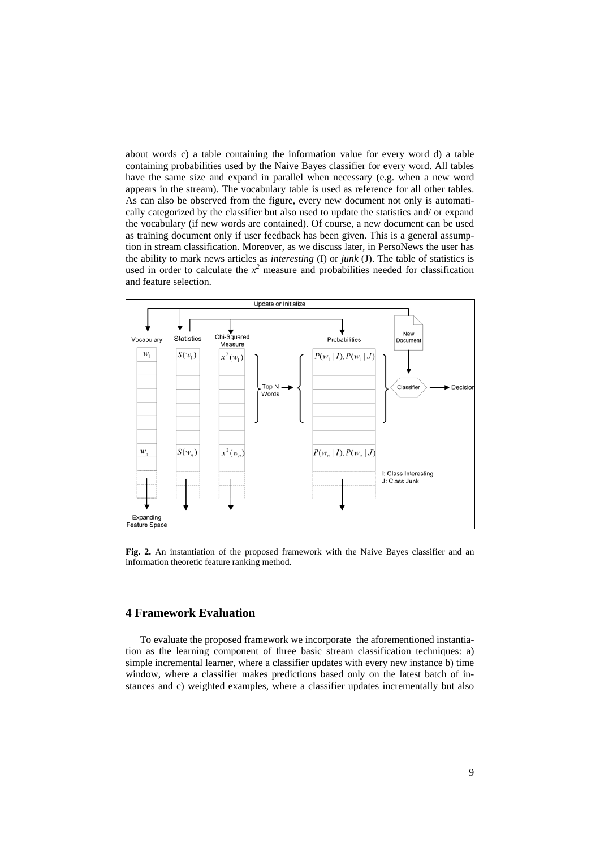about words c) a table containing the information value for every word d) a table containing probabilities used by the Naive Bayes classifier for every word. All tables have the same size and expand in parallel when necessary (e.g. when a new word appears in the stream). The vocabulary table is used as reference for all other tables. As can also be observed from the figure, every new document not only is automatically categorized by the classifier but also used to update the statistics and/ or expand the vocabulary (if new words are contained). Of course, a new document can be used as training document only if user feedback has been given. This is a general assumption in stream classification. Moreover, as we discuss later, in PersoNews the user has the ability to mark news articles as *interesting* (I) or *junk* (J). The table of statistics is used in order to calculate the  $x^2$  measure and probabilities needed for classification and feature selection.



**Fig. 2.** An instantiation of the proposed framework with the Naive Bayes classifier and an information theoretic feature ranking method.

# **4 Framework Evaluation**

To evaluate the proposed framework we incorporate the aforementioned instantiation as the learning component of three basic stream classification techniques: a) simple incremental learner, where a classifier updates with every new instance b) time window, where a classifier makes predictions based only on the latest batch of instances and c) weighted examples, where a classifier updates incrementally but also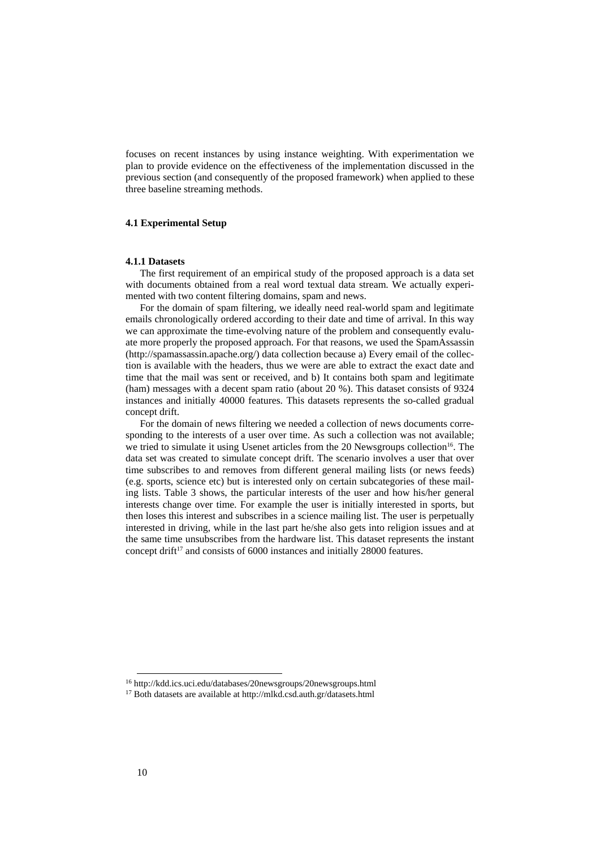focuses on recent instances by using instance weighting. With experimentation we plan to provide evidence on the effectiveness of the implementation discussed in the previous section (and consequently of the proposed framework) when applied to these three baseline streaming methods.

### **4.1 Experimental Setup**

#### **4.1.1 Datasets**

The first requirement of an empirical study of the proposed approach is a data set with documents obtained from a real word textual data stream. We actually experimented with two content filtering domains, spam and news.

For the domain of spam filtering, we ideally need real-world spam and legitimate emails chronologically ordered according to their date and time of arrival. In this way we can approximate the time-evolving nature of the problem and consequently evaluate more properly the proposed approach. For that reasons, we used the SpamAssassin (http://spamassassin.apache.org/) data collection because a) Every email of the collection is available with the headers, thus we were are able to extract the exact date and time that the mail was sent or received, and b) It contains both spam and legitimate (ham) messages with a decent spam ratio (about 20 %). This dataset consists of 9324 instances and initially 40000 features. This datasets represents the so-called gradual concept drift.

For the domain of news filtering we needed a collection of news documents corresponding to the interests of a user over time. As such a collection was not available; we tried to simulate it using Usenet articles from the 20 Newsgroups collection<sup>16</sup>. The data set was created to simulate concept drift. The scenario involves a user that over time subscribes to and removes from different general mailing lists (or news feeds) (e.g. sports, science etc) but is interested only on certain subcategories of these mailing lists. Table 3 shows, the particular interests of the user and how his/her general interests change over time. For example the user is initially interested in sports, but then loses this interest and subscribes in a science mailing list. The user is perpetually interested in driving, while in the last part he/she also gets into religion issues and at the same time unsubscribes from the hardware list. This dataset represents the instant concept drift<sup>17</sup> and consists of 6000 instances and initially 28000 features.

 $^{16}$ http://kdd.ics.uci.edu/databases/20newsgroups/20newsgroups.html $^{17}$ Both datasets are available at http://mlkd.csd.auth.gr/datasets.html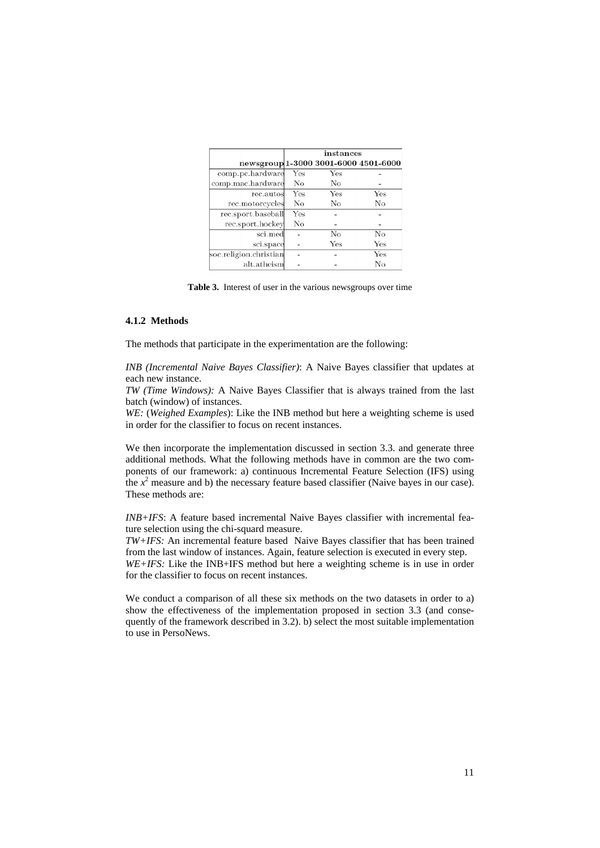|                                      |     | instances |     |
|--------------------------------------|-----|-----------|-----|
| newsgroup 1-3000 3001-6000 4501-6000 |     |           |     |
| comp.pc.hardware                     | Yes | Yes       |     |
| comp.mac.hardware                    | No  | No        |     |
| rec.autos                            | Yes | Yes       | Yes |
| rec.motorcycles                      | No  | No        | No  |
| rec.sport.baseball                   | Yes |           |     |
| rec.sport.hockey                     | No  |           |     |
| sci.med                              |     | No        | No  |
| sci.space                            |     | Yes       | Yes |
| soc.religion.christian               |     |           | Yes |
| alt.atheism                          |     |           | No  |

**Table 3.** Interest of user in the various newsgroups over time

## **4.1.2 Methods**

The methods that participate in the experimentation are the following:

*INB (Incremental Naive Bayes Classifier)*: A Naive Bayes classifier that updates at each new instance.

*TW (Time Windows):* A Naive Bayes Classifier that is always trained from the last batch (window) of instances.

*WE:* (*Weighed Examples*): Like the INB method but here a weighting scheme is used in order for the classifier to focus on recent instances.

We then incorporate the implementation discussed in section 3.3. and generate three additional methods. What the following methods have in common are the two components of our framework: a) continuous Incremental Feature Selection (IFS) using the  $x^2$  measure and b) the necessary feature based classifier (Naive bayes in our case). These methods are:

*INB+IFS*: A feature based incremental Naive Bayes classifier with incremental feature selection using the chi-squard measure.

*TW+IFS:* An incremental feature based Naive Bayes classifier that has been trained from the last window of instances. Again, feature selection is executed in every step. *WE+IFS:* Like the INB+IFS method but here a weighting scheme is in use in order for the classifier to focus on recent instances.

We conduct a comparison of all these six methods on the two datasets in order to a) show the effectiveness of the implementation proposed in section 3.3 (and consequently of the framework described in 3.2). b) select the most suitable implementation to use in PersoNews.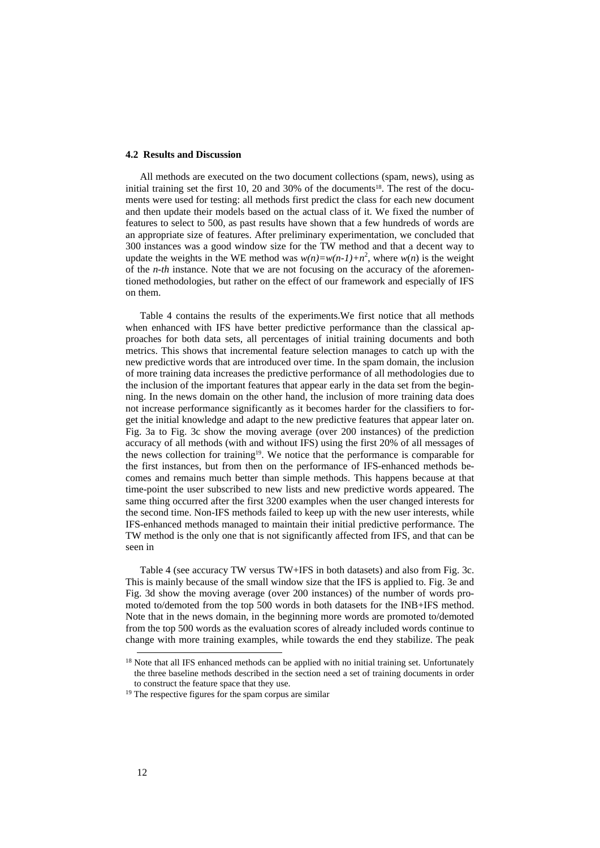### **4.2 Results and Discussion**

All methods are executed on the two document collections (spam, news), using as initial training set the first 10, 20 and 30% of the documents<sup>18</sup>. The rest of the documents were used for testing: all methods first predict the class for each new document and then update their models based on the actual class of it. We fixed the number of features to select to 500, as past results have shown that a few hundreds of words are an appropriate size of features. After preliminary experimentation, we concluded that 300 instances was a good window size for the TW method and that a decent way to update the weights in the WE method was  $w(n)=w(n-1)+n^2$ , where  $w(n)$  is the weight of the *n-th* instance. Note that we are not focusing on the accuracy of the aforementioned methodologies, but rather on the effect of our framework and especially of IFS on them.

Table 4 contains the results of the experiments.We first notice that all methods when enhanced with IFS have better predictive performance than the classical approaches for both data sets, all percentages of initial training documents and both metrics. This shows that incremental feature selection manages to catch up with the new predictive words that are introduced over time. In the spam domain, the inclusion of more training data increases the predictive performance of all methodologies due to the inclusion of the important features that appear early in the data set from the beginning. In the news domain on the other hand, the inclusion of more training data does not increase performance significantly as it becomes harder for the classifiers to forget the initial knowledge and adapt to the new predictive features that appear later on. Fig. 3a to Fig. 3c show the moving average (over 200 instances) of the prediction accuracy of all methods (with and without IFS) using the first 20% of all messages of the news collection for training19. We notice that the performance is comparable for the first instances, but from then on the performance of IFS-enhanced methods becomes and remains much better than simple methods. This happens because at that time-point the user subscribed to new lists and new predictive words appeared. The same thing occurred after the first 3200 examples when the user changed interests for the second time. Non-IFS methods failed to keep up with the new user interests, while IFS-enhanced methods managed to maintain their initial predictive performance. The TW method is the only one that is not significantly affected from IFS, and that can be seen in

Table 4 (see accuracy TW versus TW+IFS in both datasets) and also from Fig. 3c. This is mainly because of the small window size that the IFS is applied to. Fig. 3e and Fig. 3d show the moving average (over 200 instances) of the number of words promoted to/demoted from the top 500 words in both datasets for the INB+IFS method. Note that in the news domain, in the beginning more words are promoted to/demoted from the top 500 words as the evaluation scores of already included words continue to change with more training examples, while towards the end they stabilize. The peak

<sup>&</sup>lt;sup>18</sup> Note that all IFS enhanced methods can be applied with no initial training set. Unfortunately the three baseline methods described in the section need a set of training documents in order to construct the feature space that they use. 19 The respective figures for the spam corpus are similar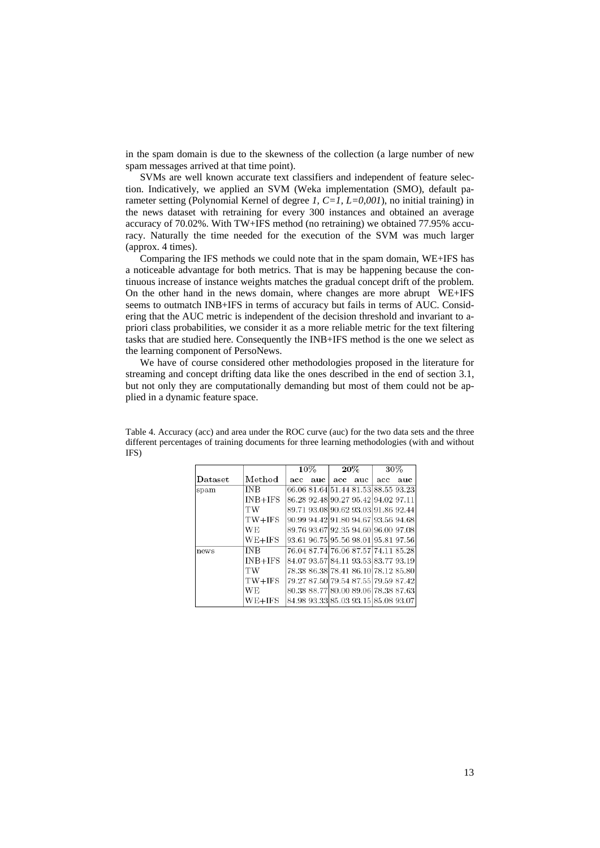in the spam domain is due to the skewness of the collection (a large number of new spam messages arrived at that time point).

SVMs are well known accurate text classifiers and independent of feature selection. Indicatively, we applied an SVM (Weka implementation (SMO), default parameter setting (Polynomial Kernel of degree *1, C=1, L=0,001*), no initial training) in the news dataset with retraining for every 300 instances and obtained an average accuracy of 70.02%. With TW+IFS method (no retraining) we obtained 77.95% accuracy. Naturally the time needed for the execution of the SVM was much larger (approx. 4 times).

Comparing the IFS methods we could note that in the spam domain, WE+IFS has a noticeable advantage for both metrics. That is may be happening because the continuous increase of instance weights matches the gradual concept drift of the problem. On the other hand in the news domain, where changes are more abrupt WE+IFS seems to outmatch INB+IFS in terms of accuracy but fails in terms of AUC. Considering that the AUC metric is independent of the decision threshold and invariant to apriori class probabilities, we consider it as a more reliable metric for the text filtering tasks that are studied here. Consequently the INB+IFS method is the one we select as the learning component of PersoNews.

We have of course considered other methodologies proposed in the literature for streaming and concept drifting data like the ones described in the end of section 3.1, but not only they are computationally demanding but most of them could not be applied in a dynamic feature space.

Table 4. Accuracy (acc) and area under the ROC curve (auc) for the two data sets and the three different percentages of training documents for three learning methodologies (with and without IFS)

|                             |            |              | $10\%$ |              | $20\%$                              |              | $30\%$ |
|-----------------------------|------------|--------------|--------|--------------|-------------------------------------|--------------|--------|
| $\mathbf{D}\mathbf{ataset}$ | Method     | $_{\rm acc}$ | auc    | $_{\rm acc}$ | auc                                 | $_{\rm acc}$ | auc    |
| spam                        | INB        |              |        |              | 66.06 81.64 51.44 81.53 88.55 93.23 |              |        |
|                             | $INB+IFS$  |              |        |              | 86.28 92.48 90.27 95.42 94.02 97.11 |              |        |
|                             | TW         |              |        |              | 89.71 93.08 90.62 93.03 91.86 92.44 |              |        |
|                             | $TW+IFS$   |              |        |              | 90.99 94.42 91.80 94.67 93.56 94.68 |              |        |
|                             | WЕ         |              |        |              | 89.76 93.67 92.35 94.60 96.00 97.08 |              |        |
|                             | WE+IFS     |              |        |              | 93.61 96.75 95.56 98.01 95.81 97.56 |              |        |
| news                        | <b>INB</b> |              |        |              | 76.04 87.74 76.06 87.57 74.11 85.28 |              |        |
|                             | $INB+IFS$  |              |        |              | 84.07 93.57 84.11 93.53 83.77 93.19 |              |        |
|                             | TW         |              |        |              | 78.38 86.38 78.41 86.10 78.12 85.80 |              |        |
|                             | $TW+IFS$   |              |        |              | 79.27 87.50 79.54 87.55 79.59 87.42 |              |        |
|                             | WЕ         |              |        |              | 80.38 88.77 80.00 89.06 78.38 87.63 |              |        |
|                             | WE+IFS     |              |        |              | 84.98 93.33 85.03 93.15 85.08 93.07 |              |        |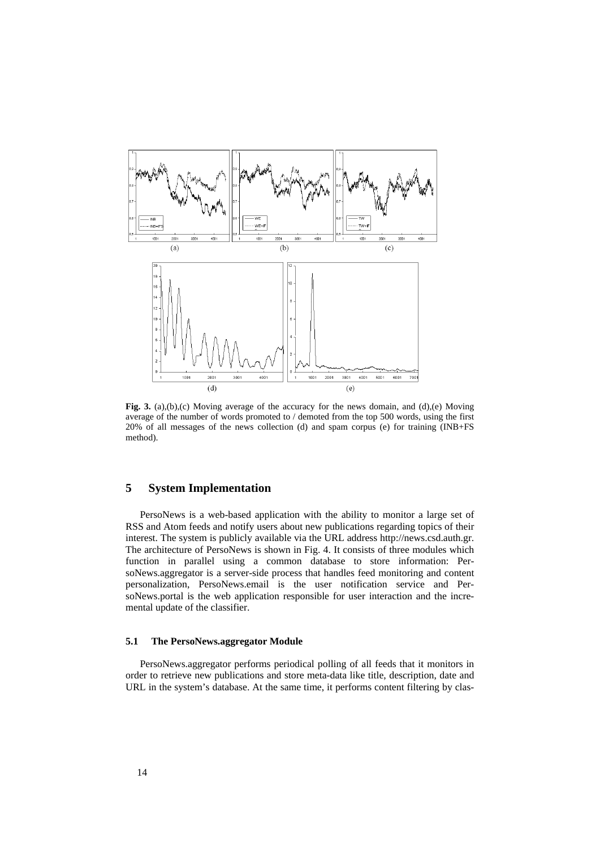

**Fig. 3.** (a),(b),(c) Moving average of the accuracy for the news domain, and (d),(e) Moving average of the number of words promoted to / demoted from the top 500 words, using the first 20% of all messages of the news collection (d) and spam corpus (e) for training (INB+FS method).

# **5 System Implementation**

PersoNews is a web-based application with the ability to monitor a large set of RSS and Atom feeds and notify users about new publications regarding topics of their interest. The system is publicly available via the URL address http://news.csd.auth.gr. The architecture of PersoNews is shown in Fig. 4. It consists of three modules which function in parallel using a common database to store information: PersoNews.aggregator is a server-side process that handles feed monitoring and content personalization, PersoNews.email is the user notification service and PersoNews.portal is the web application responsible for user interaction and the incremental update of the classifier.

#### **5.1 The PersoNews.aggregator Module**

PersoNews.aggregator performs periodical polling of all feeds that it monitors in order to retrieve new publications and store meta-data like title, description, date and URL in the system's database. At the same time, it performs content filtering by clas-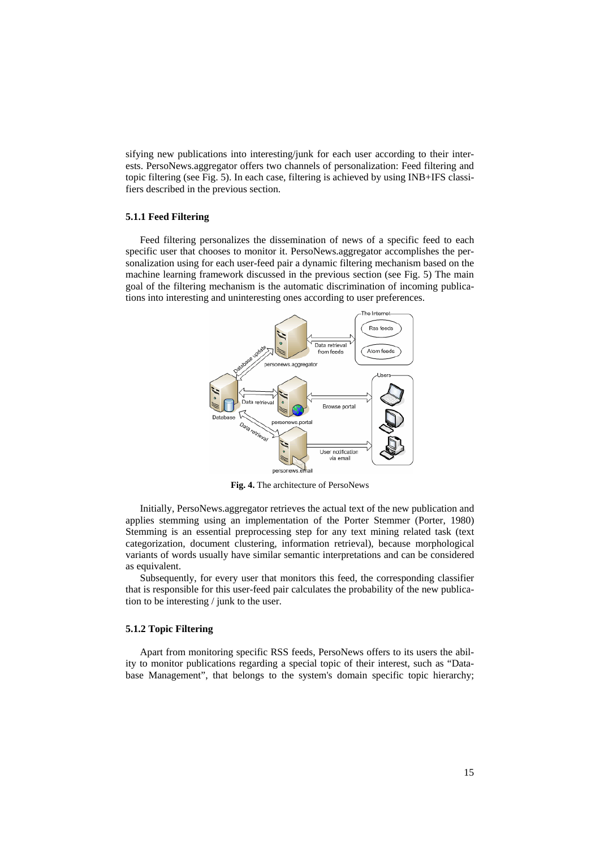sifying new publications into interesting/junk for each user according to their interests. PersoNews.aggregator offers two channels of personalization: Feed filtering and topic filtering (see Fig. 5). In each case, filtering is achieved by using INB+IFS classifiers described in the previous section.

### **5.1.1 Feed Filtering**

Feed filtering personalizes the dissemination of news of a specific feed to each specific user that chooses to monitor it. PersoNews.aggregator accomplishes the personalization using for each user-feed pair a dynamic filtering mechanism based on the machine learning framework discussed in the previous section (see Fig. 5) The main goal of the filtering mechanism is the automatic discrimination of incoming publications into interesting and uninteresting ones according to user preferences.



**Fig. 4.** The architecture of PersoNews

Initially, PersoNews.aggregator retrieves the actual text of the new publication and applies stemming using an implementation of the Porter Stemmer (Porter, 1980) Stemming is an essential preprocessing step for any text mining related task (text categorization, document clustering, information retrieval), because morphological variants of words usually have similar semantic interpretations and can be considered as equivalent.

Subsequently, for every user that monitors this feed, the corresponding classifier that is responsible for this user-feed pair calculates the probability of the new publication to be interesting / junk to the user.

### **5.1.2 Topic Filtering**

Apart from monitoring specific RSS feeds, PersoNews offers to its users the ability to monitor publications regarding a special topic of their interest, such as "Database Management", that belongs to the system's domain specific topic hierarchy;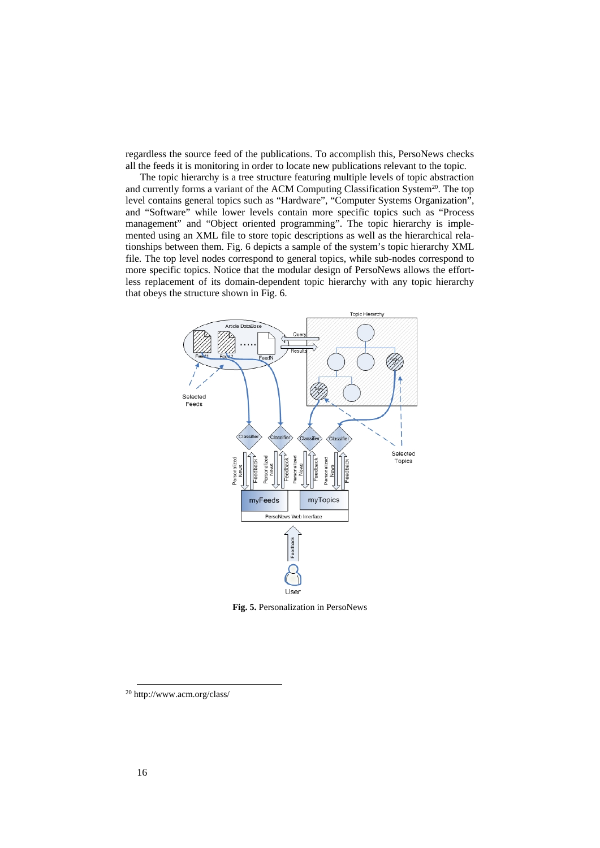regardless the source feed of the publications. To accomplish this, PersoNews checks all the feeds it is monitoring in order to locate new publications relevant to the topic.

The topic hierarchy is a tree structure featuring multiple levels of topic abstraction and currently forms a variant of the ACM Computing Classification System<sup>20</sup>. The top level contains general topics such as "Hardware", "Computer Systems Organization", and "Software" while lower levels contain more specific topics such as "Process management" and "Object oriented programming". The topic hierarchy is implemented using an XML file to store topic descriptions as well as the hierarchical relationships between them. Fig. 6 depicts a sample of the system's topic hierarchy XML file. The top level nodes correspond to general topics, while sub-nodes correspond to more specific topics. Notice that the modular design of PersoNews allows the effortless replacement of its domain-dependent topic hierarchy with any topic hierarchy that obeys the structure shown in Fig. 6.



**Fig. 5.** Personalization in PersoNews

 <sup>20</sup> http://www.acm.org/class/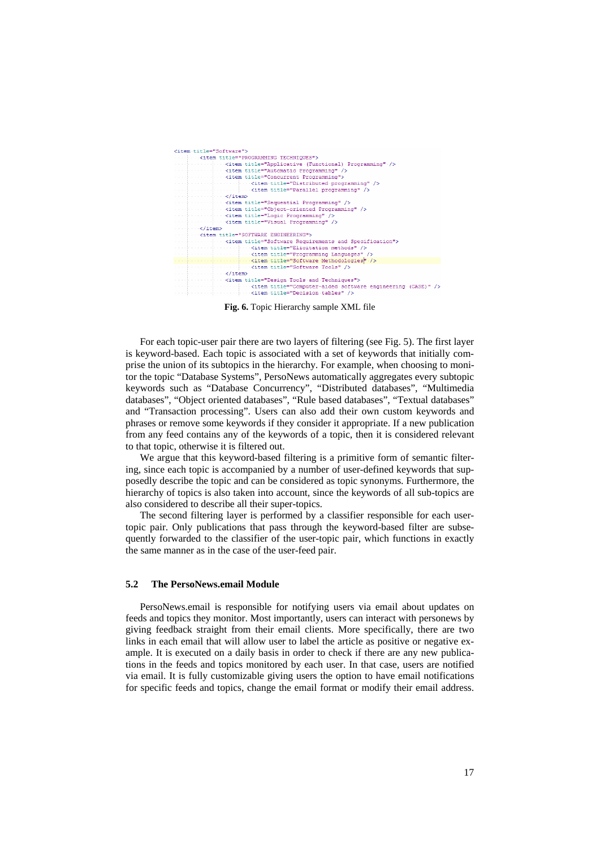| <item title="Software"></item>                                                                                                                                                                                                 |
|--------------------------------------------------------------------------------------------------------------------------------------------------------------------------------------------------------------------------------|
| <item title="PROGRAMMING TECHNIQUES"></item>                                                                                                                                                                                   |
| contractive with the state of the state of the state of the state of the state of the state of the state of the state of the state of the state of the state of the state of the state of the state of the state of the state  |
| <item title="Automatic Programming"></item>                                                                                                                                                                                    |
| <titem title="Concurrent Programming"></titem>                                                                                                                                                                                 |
| with the set of the set of the set of the set of the set of the set of the set of the set of the set of the set of the set of the set of the set of the set of the set of the set of the set of the set of the set of the set  |
| with the set of the set of the set of the set of the set of the set of the set of the set of the set of the set of the set of the set of the set of the set of the set of the set of the set of the set of the set of the set  |
| www.communications.com                                                                                                                                                                                                         |
| <item-title="sequential-programming"></item-title="sequential-programming">                                                                                                                                                    |
| with the set of the states of the state of the state of the state of the state of the state of the state of the state of the state of the state of the state of the state of the state of the state of the state of the state  |
| Vitem title="Logic Programming" />                                                                                                                                                                                             |
| Wisconsing" /> <item title="Visual Programming"></item>                                                                                                                                                                        |
| www.com/kitem>                                                                                                                                                                                                                 |
| <item title="SOFTWARE ENGINEERING"></item>                                                                                                                                                                                     |
| Second Control of Specification"> <itide="software and="" requirements="" specification"=""></itide="software>                                                                                                                 |
| where the contract of the set of the state of the state of the state of the state of the state of the state of the state of the state of the state of the state of the state of the state of the state of the state of the sta |
| We are also assessed to the set of the set of the set of the set of the set of the set of the set of the set of the set of the set of the set of the set of the set of the set of the set of the set of the set of the set of  |
| with the set of the set of the set of the set of the set of the set of the set of the set of the set of the set of the set of the set of the set of the set of the set of the set of the set of the set of the set of the set  |
| with the second control of the second states of the second state of the second state of the second state of the                                                                                                                |
| <b>Second Contract Contract Contract Contract Contract Contract Contract Contract Contract Contract Contract Contr</b>                                                                                                         |
| Citem title="Design Tools and Techniques">                                                                                                                                                                                     |
| computer-aided software engineering (CASE) " />                                                                                                                                                                                |
| With the second control of the second states of the second states of the second states of the second states of $\sim$                                                                                                          |
|                                                                                                                                                                                                                                |

**Fig. 6.** Topic Hierarchy sample XML file

For each topic-user pair there are two layers of filtering (see Fig. 5). The first layer is keyword-based. Each topic is associated with a set of keywords that initially comprise the union of its subtopics in the hierarchy. For example, when choosing to monitor the topic "Database Systems", PersoNews automatically aggregates every subtopic keywords such as "Database Concurrency", "Distributed databases", "Multimedia databases", "Object oriented databases", "Rule based databases", "Textual databases" and "Transaction processing". Users can also add their own custom keywords and phrases or remove some keywords if they consider it appropriate. If a new publication from any feed contains any of the keywords of a topic, then it is considered relevant to that topic, otherwise it is filtered out.

We argue that this keyword-based filtering is a primitive form of semantic filtering, since each topic is accompanied by a number of user-defined keywords that supposedly describe the topic and can be considered as topic synonyms. Furthermore, the hierarchy of topics is also taken into account, since the keywords of all sub-topics are also considered to describe all their super-topics.

The second filtering layer is performed by a classifier responsible for each usertopic pair. Only publications that pass through the keyword-based filter are subsequently forwarded to the classifier of the user-topic pair, which functions in exactly the same manner as in the case of the user-feed pair.

### **5.2 The PersoNews.email Module**

PersoNews.email is responsible for notifying users via email about updates on feeds and topics they monitor. Most importantly, users can interact with personews by giving feedback straight from their email clients. More specifically, there are two links in each email that will allow user to label the article as positive or negative example. It is executed on a daily basis in order to check if there are any new publications in the feeds and topics monitored by each user. In that case, users are notified via email. It is fully customizable giving users the option to have email notifications for specific feeds and topics, change the email format or modify their email address.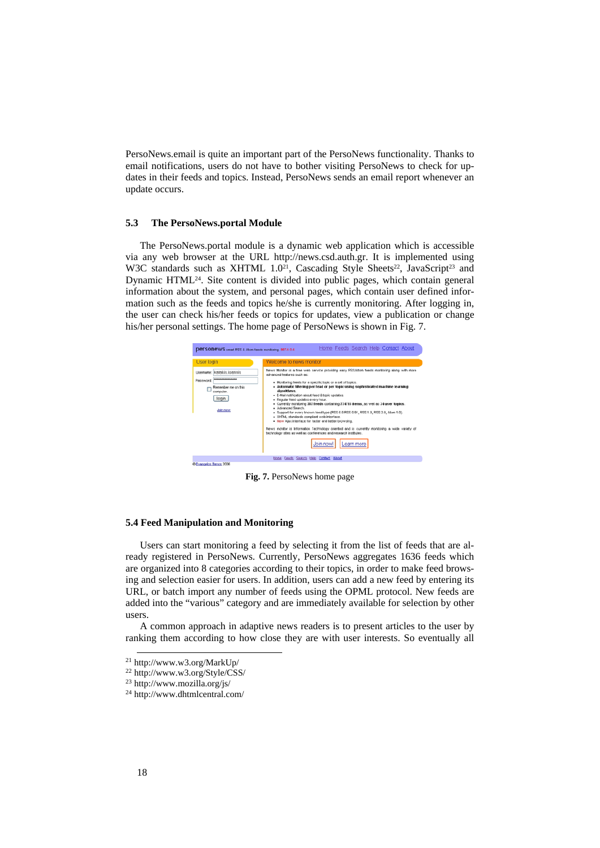PersoNews.email is quite an important part of the PersoNews functionality. Thanks to email notifications, users do not have to bother visiting PersoNews to check for updates in their feeds and topics. Instead, PersoNews sends an email report whenever an update occurs.

#### **5.3 The PersoNews.portal Module**

The PersoNews.portal module is a dynamic web application which is accessible via any web browser at the URL http://news.csd.auth.gr. It is implemented using W3C standards such as XHTML 1.0<sup>21</sup>, Cascading Style Sheets<sup>22</sup>, JavaScript<sup>23</sup> and Dynamic HTML24. Site content is divided into public pages, which contain general information about the system, and personal pages, which contain user defined information such as the feeds and topics he/she is currently monitoring. After logging in, the user can check his/her feeds or topics for updates, view a publication or change his/her personal settings. The home page of PersoNews is shown in Fig. 7.



**Fig. 7.** PersoNews home page

### **5.4 Feed Manipulation and Monitoring**

Users can start monitoring a feed by selecting it from the list of feeds that are already registered in PersoNews. Currently, PersoNews aggregates 1636 feeds which are organized into 8 categories according to their topics, in order to make feed browsing and selection easier for users. In addition, users can add a new feed by entering its URL, or batch import any number of feeds using the OPML protocol. New feeds are added into the "various" category and are immediately available for selection by other users.

A common approach in adaptive news readers is to present articles to the user by ranking them according to how close they are with user interests. So eventually all

 <sup>21</sup> http://www.w3.org/MarkUp/

<sup>22</sup> http://www.w3.org/Style/CSS/

<sup>23</sup> http://www.mozilla.org/js/

<sup>24</sup> http://www.dhtmlcentral.com/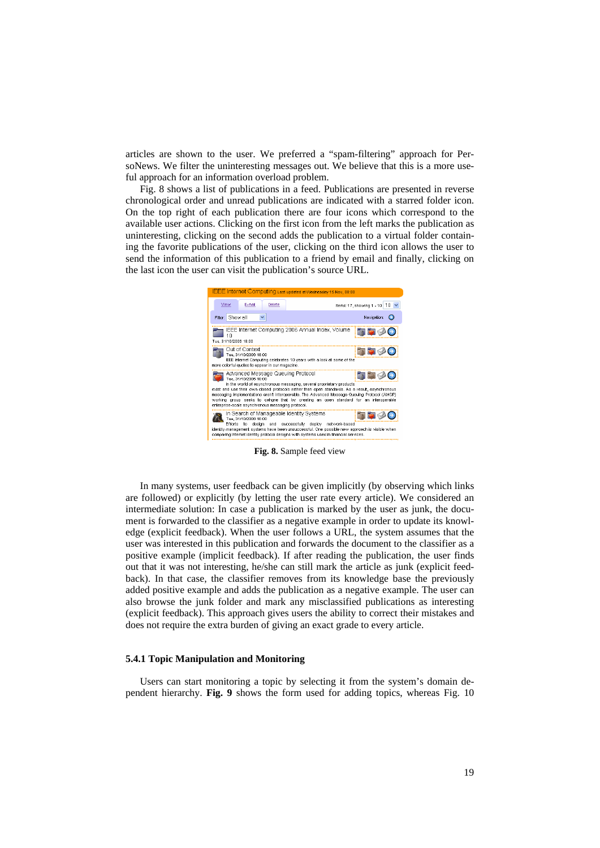articles are shown to the user. We preferred a "spam-filtering" approach for PersoNews. We filter the uninteresting messages out. We believe that this is a more useful approach for an information overload problem.

Fig. 8 shows a list of publications in a feed. Publications are presented in reverse chronological order and unread publications are indicated with a starred folder icon. On the top right of each publication there are four icons which correspond to the available user actions. Clicking on the first icon from the left marks the publication as uninteresting, clicking on the second adds the publication to a virtual folder containing the favorite publications of the user, clicking on the third icon allows the user to send the information of this publication to a friend by email and finally, clicking on the last icon the user can visit the publication's source URL.



**Fig. 8.** Sample feed view

In many systems, user feedback can be given implicitly (by observing which links are followed) or explicitly (by letting the user rate every article). We considered an intermediate solution: In case a publication is marked by the user as junk, the document is forwarded to the classifier as a negative example in order to update its knowledge (explicit feedback). When the user follows a URL, the system assumes that the user was interested in this publication and forwards the document to the classifier as a positive example (implicit feedback). If after reading the publication, the user finds out that it was not interesting, he/she can still mark the article as junk (explicit feedback). In that case, the classifier removes from its knowledge base the previously added positive example and adds the publication as a negative example. The user can also browse the junk folder and mark any misclassified publications as interesting (explicit feedback). This approach gives users the ability to correct their mistakes and does not require the extra burden of giving an exact grade to every article.

### **5.4.1 Topic Manipulation and Monitoring**

Users can start monitoring a topic by selecting it from the system's domain dependent hierarchy. **Fig. 9** shows the form used for adding topics, whereas Fig. 10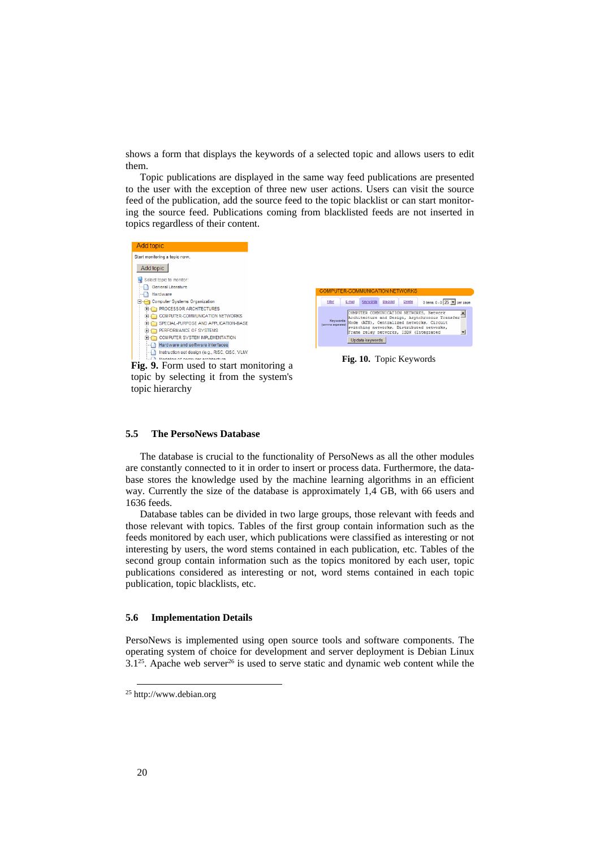shows a form that displays the keywords of a selected topic and allows users to edit them.

Topic publications are displayed in the same way feed publications are presented to the user with the exception of three new user actions. Users can visit the source feed of the publication, add the source feed to the topic blacklist or can start monitoring the source feed. Publications coming from blacklisted feeds are not inserted in topics regardless of their content.



topic by selecting it from the system's topic hierarchy

### **5.5 The PersoNews Database**

The database is crucial to the functionality of PersoNews as all the other modules are constantly connected to it in order to insert or process data. Furthermore, the database stores the knowledge used by the machine learning algorithms in an efficient way. Currently the size of the database is approximately 1,4 GB, with 66 users and 1636 feeds.

Database tables can be divided in two large groups, those relevant with feeds and those relevant with topics. Tables of the first group contain information such as the feeds monitored by each user, which publications were classified as interesting or not interesting by users, the word stems contained in each publication, etc. Tables of the second group contain information such as the topics monitored by each user, topic publications considered as interesting or not, word stems contained in each topic publication, topic blacklists, etc.

### **5.6 Implementation Details**

PersoNews is implemented using open source tools and software components. The operating system of choice for development and server deployment is Debian Linux  $3.1<sup>25</sup>$ . Apache web server<sup>26</sup> is used to serve static and dynamic web content while the

 <sup>25</sup> http://www.debian.org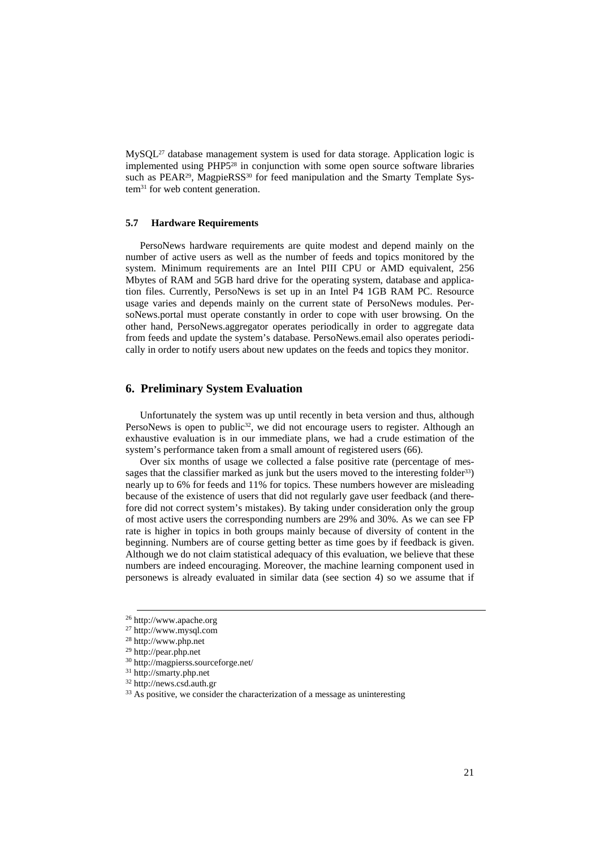MySQL27 database management system is used for data storage. Application logic is implemented using PHP528 in conjunction with some open source software libraries such as  $PEAR<sup>29</sup>$ , MagpieRSS<sup>30</sup> for feed manipulation and the Smarty Template System<sup>31</sup> for web content generation.

#### **5.7 Hardware Requirements**

PersoNews hardware requirements are quite modest and depend mainly on the number of active users as well as the number of feeds and topics monitored by the system. Minimum requirements are an Intel PIII CPU or AMD equivalent, 256 Mbytes of RAM and 5GB hard drive for the operating system, database and application files. Currently, PersoNews is set up in an Intel P4 1GB RAM PC. Resource usage varies and depends mainly on the current state of PersoNews modules. PersoNews.portal must operate constantly in order to cope with user browsing. On the other hand, PersoNews.aggregator operates periodically in order to aggregate data from feeds and update the system's database. PersoNews.email also operates periodically in order to notify users about new updates on the feeds and topics they monitor.

# **6. Preliminary System Evaluation**

Unfortunately the system was up until recently in beta version and thus, although PersoNews is open to public<sup>32</sup>, we did not encourage users to register. Although an exhaustive evaluation is in our immediate plans, we had a crude estimation of the system's performance taken from a small amount of registered users (66).

Over six months of usage we collected a false positive rate (percentage of messages that the classifier marked as junk but the users moved to the interesting folder<sup>33</sup>) nearly up to 6% for feeds and 11% for topics. These numbers however are misleading because of the existence of users that did not regularly gave user feedback (and therefore did not correct system's mistakes). By taking under consideration only the group of most active users the corresponding numbers are 29% and 30%. As we can see FP rate is higher in topics in both groups mainly because of diversity of content in the beginning. Numbers are of course getting better as time goes by if feedback is given. Although we do not claim statistical adequacy of this evaluation, we believe that these numbers are indeed encouraging. Moreover, the machine learning component used in personews is already evaluated in similar data (see section 4) so we assume that if

 <sup>26</sup> http://www.apache.org

<sup>27</sup> http://www.mysql.com

<sup>28</sup> http://www.php.net

<sup>29</sup> http://pear.php.net

<sup>30</sup> http://magpierss.sourceforge.net/

<sup>31</sup> http://smarty.php.net

<sup>32</sup> http://news.csd.auth.gr

<sup>&</sup>lt;sup>33</sup> As positive, we consider the characterization of a message as uninteresting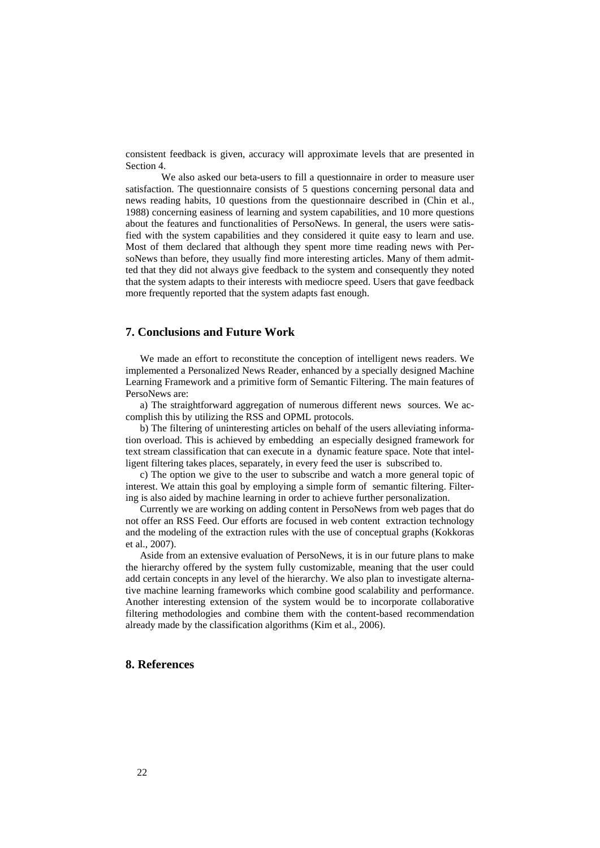consistent feedback is given, accuracy will approximate levels that are presented in Section 4.

 We also asked our beta-users to fill a questionnaire in order to measure user satisfaction. The questionnaire consists of 5 questions concerning personal data and news reading habits, 10 questions from the questionnaire described in (Chin et al., 1988) concerning easiness of learning and system capabilities, and 10 more questions about the features and functionalities of PersoNews. In general, the users were satisfied with the system capabilities and they considered it quite easy to learn and use. Most of them declared that although they spent more time reading news with PersoNews than before, they usually find more interesting articles. Many of them admitted that they did not always give feedback to the system and consequently they noted that the system adapts to their interests with mediocre speed. Users that gave feedback more frequently reported that the system adapts fast enough.

# **7. Conclusions and Future Work**

We made an effort to reconstitute the conception of intelligent news readers. We implemented a Personalized News Reader, enhanced by a specially designed Machine Learning Framework and a primitive form of Semantic Filtering. The main features of PersoNews are:

a) The straightforward aggregation of numerous different news sources. We accomplish this by utilizing the RSS and OPML protocols.

b) The filtering of uninteresting articles on behalf of the users alleviating information overload. This is achieved by embedding an especially designed framework for text stream classification that can execute in a dynamic feature space. Note that intelligent filtering takes places, separately, in every feed the user is subscribed to.

c) The option we give to the user to subscribe and watch a more general topic of interest. We attain this goal by employing a simple form of semantic filtering. Filtering is also aided by machine learning in order to achieve further personalization.

Currently we are working on adding content in PersoNews from web pages that do not offer an RSS Feed. Our efforts are focused in web content extraction technology and the modeling of the extraction rules with the use of conceptual graphs (Kokkoras et al., 2007).

Aside from an extensive evaluation of PersoNews, it is in our future plans to make the hierarchy offered by the system fully customizable, meaning that the user could add certain concepts in any level of the hierarchy. We also plan to investigate alternative machine learning frameworks which combine good scalability and performance. Another interesting extension of the system would be to incorporate collaborative filtering methodologies and combine them with the content-based recommendation already made by the classification algorithms (Kim et al., 2006).

### **8. References**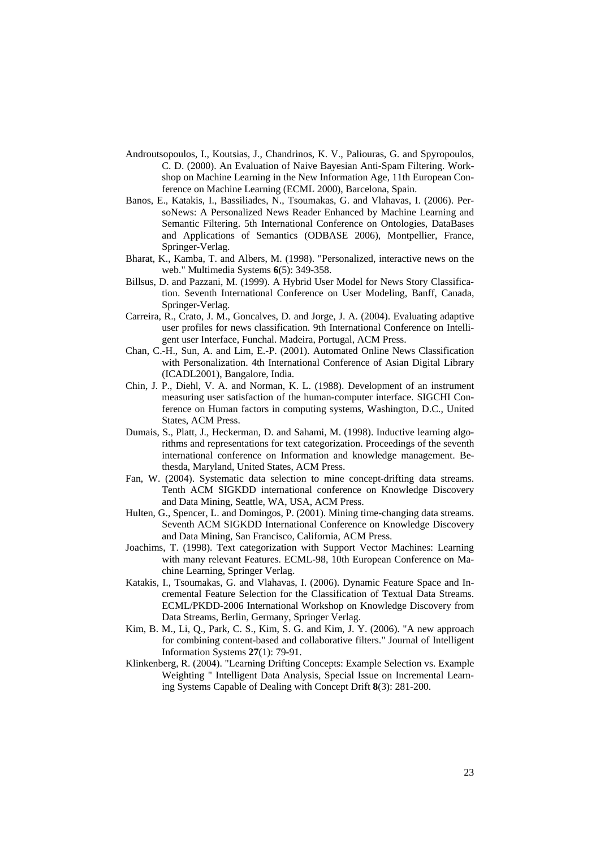- Androutsopoulos, I., Koutsias, J., Chandrinos, K. V., Paliouras, G. and Spyropoulos, C. D. (2000). An Evaluation of Naive Bayesian Anti-Spam Filtering. Workshop on Machine Learning in the New Information Age, 11th European Conference on Machine Learning (ECML 2000), Barcelona, Spain.
- Banos, E., Katakis, I., Bassiliades, N., Tsoumakas, G. and Vlahavas, I. (2006). PersoNews: A Personalized News Reader Enhanced by Machine Learning and Semantic Filtering. 5th International Conference on Ontologies, DataBases and Applications of Semantics (ODBASE 2006), Montpellier, France, Springer-Verlag.
- Bharat, K., Kamba, T. and Albers, M. (1998). "Personalized, interactive news on the web." Multimedia Systems **6**(5): 349-358.
- Billsus, D. and Pazzani, M. (1999). A Hybrid User Model for News Story Classification. Seventh International Conference on User Modeling, Banff, Canada, Springer-Verlag.
- Carreira, R., Crato, J. M., Goncalves, D. and Jorge, J. A. (2004). Evaluating adaptive user profiles for news classification. 9th International Conference on Intelligent user Interface, Funchal. Madeira, Portugal, ACM Press.
- Chan, C.-H., Sun, A. and Lim, E.-P. (2001). Automated Online News Classification with Personalization. 4th International Conference of Asian Digital Library (ICADL2001), Bangalore, India.
- Chin, J. P., Diehl, V. A. and Norman, K. L. (1988). Development of an instrument measuring user satisfaction of the human-computer interface. SIGCHI Conference on Human factors in computing systems, Washington, D.C., United States, ACM Press.
- Dumais, S., Platt, J., Heckerman, D. and Sahami, M. (1998). Inductive learning algorithms and representations for text categorization. Proceedings of the seventh international conference on Information and knowledge management. Bethesda, Maryland, United States, ACM Press.
- Fan, W. (2004). Systematic data selection to mine concept-drifting data streams. Tenth ACM SIGKDD international conference on Knowledge Discovery and Data Mining, Seattle, WA, USA, ACM Press.
- Hulten, G., Spencer, L. and Domingos, P. (2001). Mining time-changing data streams. Seventh ACM SIGKDD International Conference on Knowledge Discovery and Data Mining, San Francisco, California, ACM Press.
- Joachims, T. (1998). Text categorization with Support Vector Machines: Learning with many relevant Features. ECML-98, 10th European Conference on Machine Learning, Springer Verlag.
- Katakis, I., Tsoumakas, G. and Vlahavas, I. (2006). Dynamic Feature Space and Incremental Feature Selection for the Classification of Textual Data Streams. ECML/PKDD-2006 International Workshop on Knowledge Discovery from Data Streams, Berlin, Germany, Springer Verlag.
- Kim, B. M., Li, Q., Park, C. S., Kim, S. G. and Kim, J. Y. (2006). "A new approach for combining content-based and collaborative filters." Journal of Intelligent Information Systems **27**(1): 79-91.
- Klinkenberg, R. (2004). "Learning Drifting Concepts: Example Selection vs. Example Weighting " Intelligent Data Analysis, Special Issue on Incremental Learning Systems Capable of Dealing with Concept Drift **8**(3): 281-200.